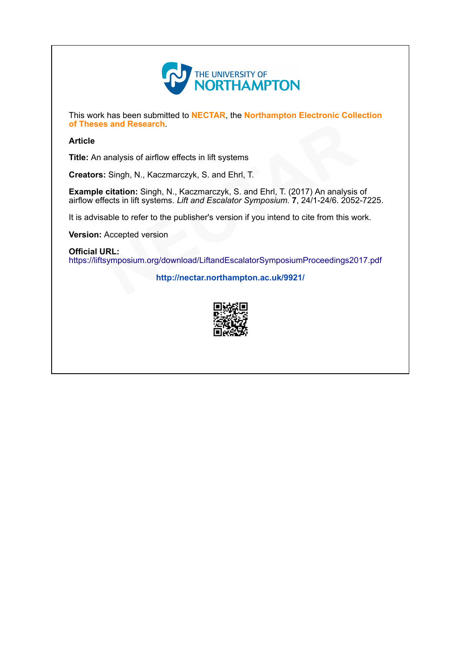

This work has been submitted to NECTAR, the Northampton Electronic Collection of Theses and Research.

### Article

Title: An analysis of airflow effects in lift systems

Creators: Singh, N., Kaczmarczyk, S. and Ehrl, T.

Example citation: Singh, N., Kaczmarczyk, S. and Ehrl, T. (2017) An analysis of airflow effects in lift systems. Lift and Escalator Symposium. 7, 24/1-24/6. 2052-7225. ects in lift systems<br>
czyk, S. and Ehrl, T.<br>
Kaczmarczyk, S. and Ehrl, T. (2017) An analysis<br>
ift and Escalator Symposium. 7, 24/1-24/6. 2052<br>
ublisher's version if you intend to cite from this wo

Version: Accepted version

#### Official URL:

It is advisable to refer to the publisher's version if you intend to cite from this work.<br>**Version:** Accepted version<br>**Official URL:**<br>https://liftsymposium.org/download/LiftandEscalatorSymposiumProceedings2017.p <https://liftsymposium.org/download/LiftandEscalatorSymposiumProceedings2017.pdf>

[p://nectar.northampton.ac.uk/9921/](http://nectar.northampton.ac.uk/9921/)

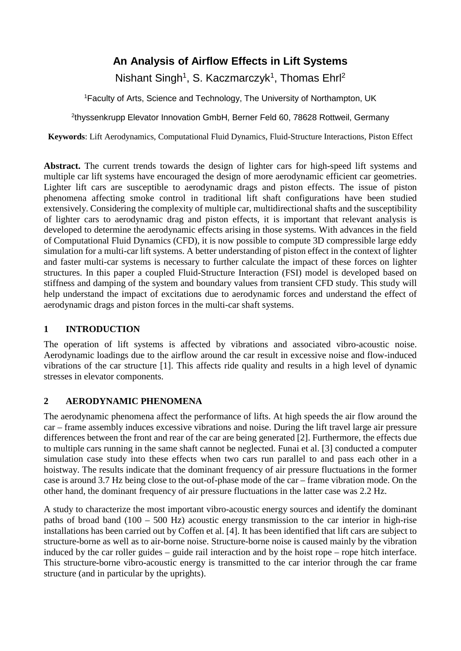# **An Analysis of Airflow Effects in Lift Systems**

Nishant Singh<sup>1</sup>, S. Kaczmarczyk<sup>1</sup>, Thomas Ehrl<sup>2</sup>

1 Faculty of Arts, Science and Technology, The University of Northampton, UK

<sup>2</sup>thyssenkrupp Elevator Innovation GmbH, Berner Feld 60, 78628 Rottweil, Germany

**Keywords**: Lift Aerodynamics, Computational Fluid Dynamics, Fluid-Structure Interactions, Piston Effect

**Abstract.** The current trends towards the design of lighter cars for high-speed lift systems and multiple car lift systems have encouraged the design of more aerodynamic efficient car geometries. Lighter lift cars are susceptible to aerodynamic drags and piston effects. The issue of piston phenomena affecting smoke control in traditional lift shaft configurations have been studied extensively. Considering the complexity of multiple car, multidirectional shafts and the susceptibility of lighter cars to aerodynamic drag and piston effects, it is important that relevant analysis is developed to determine the aerodynamic effects arising in those systems. With advances in the field of Computational Fluid Dynamics (CFD), it is now possible to compute 3D compressible large eddy simulation for a multi-car lift systems. A better understanding of piston effect in the context of lighter and faster multi-car systems is necessary to further calculate the impact of these forces on lighter structures. In this paper a coupled Fluid-Structure Interaction (FSI) model is developed based on stiffness and damping of the system and boundary values from transient CFD study. This study will help understand the impact of excitations due to aerodynamic forces and understand the effect of aerodynamic drags and piston forces in the multi-car shaft systems.

# **1 INTRODUCTION**

The operation of lift systems is affected by vibrations and associated vibro-acoustic noise. Aerodynamic loadings due to the airflow around the car result in excessive noise and flow-induced vibrations of the car structure [1]. This affects ride quality and results in a high level of dynamic stresses in elevator components.

# **2 AERODYNAMIC PHENOMENA**

The aerodynamic phenomena affect the performance of lifts. At high speeds the air flow around the car – frame assembly induces excessive vibrations and noise. During the lift travel large air pressure differences between the front and rear of the car are being generated [2]. Furthermore, the effects due to multiple cars running in the same shaft cannot be neglected. Funai et al. [3] conducted a computer simulation case study into these effects when two cars run parallel to and pass each other in a hoistway. The results indicate that the dominant frequency of air pressure fluctuations in the former case is around 3.7 Hz being close to the out-of-phase mode of the car – frame vibration mode. On the other hand, the dominant frequency of air pressure fluctuations in the latter case was 2.2 Hz.

A study to characterize the most important vibro-acoustic energy sources and identify the dominant paths of broad band (100 – 500 Hz) acoustic energy transmission to the car interior in high-rise installations has been carried out by Coffen et al. [4]. It has been identified that lift cars are subject to structure-borne as well as to air-borne noise. Structure-borne noise is caused mainly by the vibration induced by the car roller guides – guide rail interaction and by the hoist rope – rope hitch interface. This structure-borne vibro-acoustic energy is transmitted to the car interior through the car frame structure (and in particular by the uprights).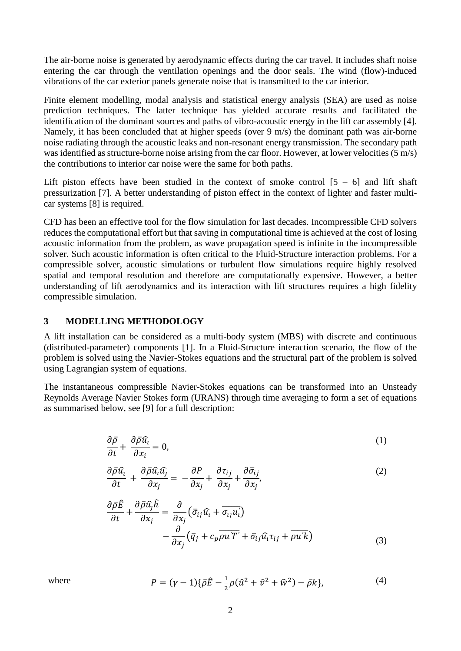The air-borne noise is generated by aerodynamic effects during the car travel. It includes shaft noise entering the car through the ventilation openings and the door seals. The wind (flow)-induced vibrations of the car exterior panels generate noise that is transmitted to the car interior.

Finite element modelling, modal analysis and statistical energy analysis (SEA) are used as noise prediction techniques. The latter technique has yielded accurate results and facilitated the identification of the dominant sources and paths of vibro-acoustic energy in the lift car assembly [4]. Namely, it has been concluded that at higher speeds (over 9 m/s) the dominant path was air-borne noise radiating through the acoustic leaks and non-resonant energy transmission. The secondary path was identified as structure-borne noise arising from the car floor. However, at lower velocities (5 m/s) the contributions to interior car noise were the same for both paths.

Lift piston effects have been studied in the context of smoke control  $[5 - 6]$  and lift shaft pressurization [7]. A better understanding of piston effect in the context of lighter and faster multicar systems [8] is required.

CFD has been an effective tool for the flow simulation for last decades. Incompressible CFD solvers reduces the computational effort but that saving in computational time is achieved at the cost of losing acoustic information from the problem, as wave propagation speed is infinite in the incompressible solver. Such acoustic information is often critical to the Fluid-Structure interaction problems. For a compressible solver, acoustic simulations or turbulent flow simulations require highly resolved spatial and temporal resolution and therefore are computationally expensive. However, a better understanding of lift aerodynamics and its interaction with lift structures requires a high fidelity compressible simulation.

### **3 MODELLING METHODOLOGY**

A lift installation can be considered as a multi-body system (MBS) with discrete and continuous (distributed-parameter) components [1]. In a Fluid-Structure interaction scenario, the flow of the problem is solved using the Navier-Stokes equations and the structural part of the problem is solved using Lagrangian system of equations.

The instantaneous compressible Navier-Stokes equations can be transformed into an Unsteady Reynolds Average Navier Stokes form (URANS) through time averaging to form a set of equations as summarised below, see [9] for a full description:

$$
\frac{\partial \bar{\rho}}{\partial t} + \frac{\partial \bar{\rho} \hat{u}_i}{\partial x_i} = 0, \tag{1}
$$

$$
\frac{\partial \bar{\rho} \hat{u}_i}{\partial t} + \frac{\partial \bar{\rho} \hat{u}_i \hat{u}_j}{\partial x_j} = -\frac{\partial P}{\partial x_j} + \frac{\partial \tau_{ij}}{\partial x_j} + \frac{\partial \bar{\sigma}_{ij}}{\partial x_j},\tag{2}
$$

$$
\frac{\partial \bar{\rho}\hat{E}}{\partial t} + \frac{\partial \bar{\rho}\hat{u_j}\hat{h}}{\partial x_j} = \frac{\partial}{\partial x_j} \left( \bar{\sigma}_{ij}\hat{u_i} + \bar{\sigma}_{ij}u_i' \right) \n- \frac{\partial}{\partial x_j} \left( \bar{q}_j + c_p \overline{\rho u'T'} + \bar{\sigma}_{ij}\hat{u_i}\tau_{ij} + \overline{\rho u'k} \right)
$$
\n(3)

where 
$$
P = (\gamma - 1)\{\bar{\rho}\hat{E} - \frac{1}{2}\rho(\hat{u}^2 + \hat{v}^2 + \hat{w}^2) - \bar{\rho}k\},
$$
 (4)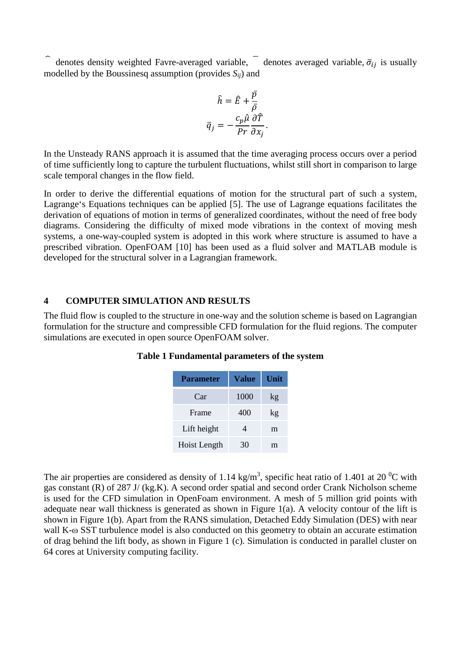$\hat{a}$  denotes density weighted Favre-averaged variable,  $\hat{a}$  denotes averaged variable,  $\bar{\sigma}_{ij}$  is usually modelled by the Boussinesq assumption (provides *Sij*) and

$$
\hat{h} = \hat{E} + \frac{\bar{p}}{\bar{\rho}}
$$

$$
\bar{q}_j = -\frac{c_p \hat{\mu}}{Pr} \frac{\partial \hat{T}}{\partial x_j}
$$

.

In the Unsteady RANS approach it is assumed that the time averaging process occurs over a period of time sufficiently long to capture the turbulent fluctuations, whilst still short in comparison to large scale temporal changes in the flow field.

In order to derive the differential equations of motion for the structural part of such a system, Lagrange's Equations techniques can be applied [5]. The use of Lagrange equations facilitates the derivation of equations of motion in terms of generalized coordinates, without the need of free body diagrams. Considering the difficulty of mixed mode vibrations in the context of moving mesh systems, a one-way-coupled system is adopted in this work where structure is assumed to have a prescribed vibration. OpenFOAM [10] has been used as a fluid solver and MATLAB module is developed for the structural solver in a Lagrangian framework.

### **4 COMPUTER SIMULATION AND RESULTS**

The fluid flow is coupled to the structure in one-way and the solution scheme is based on Lagrangian formulation for the structure and compressible CFD formulation for the fluid regions. The computer simulations are executed in open source OpenFOAM solver.

| <b>Parameter</b> | Value | Unit |
|------------------|-------|------|
| Car              | 1000  | kg   |
| Frame            | 400   | kg   |
| Lift height      | 4     | m    |
| Hoist Length     | 30    | m    |

**Table 1 Fundamental parameters of the system**

The air properties are considered as density of 1.14 kg/m<sup>3</sup>, specific heat ratio of 1.401 at 20<sup>o</sup>C with gas constant (R) of 287 J/ (kg.K). A second order spatial and second order Crank Nicholson scheme is used for the CFD simulation in OpenFoam environment. A mesh of 5 million grid points with adequate near wall thickness is generated as shown in Figure 1(a). A velocity contour of the lift is shown in Figure 1(b). Apart from the RANS simulation, Detached Eddy Simulation (DES) with near wall K-ω SST turbulence model is also conducted on this geometry to obtain an accurate estimation of drag behind the lift body, as shown in Figure 1 (c). Simulation is conducted in parallel cluster on 64 cores at University computing facility.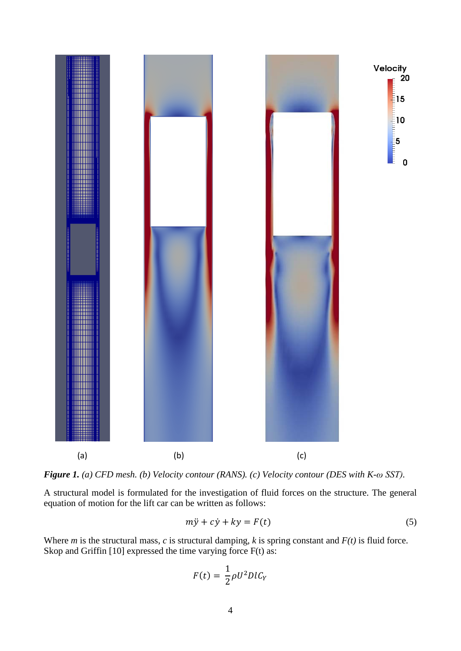

*Figure 1. (a) CFD mesh. (b) Velocity contour (RANS). (c) Velocity contour (DES with K-ω SST).* 

A structural model is formulated for the investigation of fluid forces on the structure. The general equation of motion for the lift car can be written as follows:

$$
m\ddot{y} + c\dot{y} + ky = F(t) \tag{5}
$$

Where *m* is the structural mass, *c* is structural damping, *k* is spring constant and *F(t)* is fluid force. Skop and Griffin [10] expressed the time varying force F(t) as:

$$
F(t) = \frac{1}{2}\rho U^2 D l C_Y
$$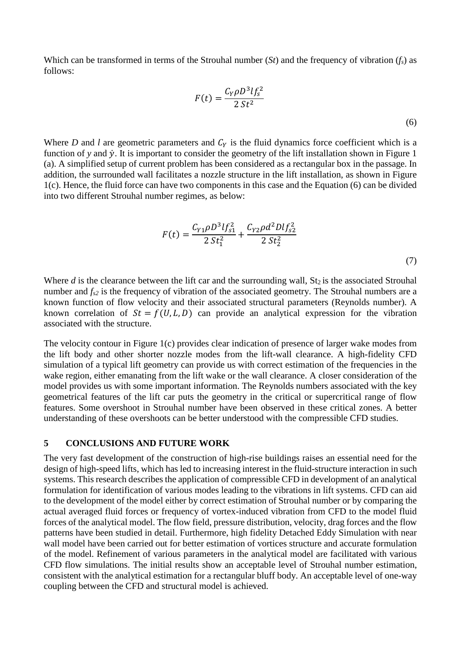Which can be transformed in terms of the Strouhal number (*St*) and the frequency of vibration (*fs*) as follows:

$$
F(t) = \frac{C_Y \rho D^3 l f_s^2}{2 S t^2}
$$
\n(6)

Where *D* and *l* are geometric parameters and  $C<sub>Y</sub>$  is the fluid dynamics force coefficient which is a function of y and  $\dot{y}$ . It is important to consider the geometry of the lift installation shown in Figure 1 (a). A simplified setup of current problem has been considered as a rectangular box in the passage. In addition, the surrounded wall facilitates a nozzle structure in the lift installation, as shown in Figure 1(c). Hence, the fluid force can have two components in this case and the Equation (6) can be divided into two different Strouhal number regimes, as below:

$$
F(t) = \frac{C_{Y1}\rho D^3 l f_{s1}^2}{2 St_1^2} + \frac{C_{Y2}\rho d^2 D l f_{s2}^2}{2 St_2^2}
$$
\n(7)

Where  $d$  is the clearance between the lift car and the surrounding wall,  $St_2$  is the associated Strouhal number and  $f_{s2}$  is the frequency of vibration of the associated geometry. The Strouhal numbers are a known function of flow velocity and their associated structural parameters (Reynolds number). A known correlation of  $St = f(U, L, D)$  can provide an analytical expression for the vibration associated with the structure.

The velocity contour in Figure 1(c) provides clear indication of presence of larger wake modes from the lift body and other shorter nozzle modes from the lift-wall clearance. A high-fidelity CFD simulation of a typical lift geometry can provide us with correct estimation of the frequencies in the wake region, either emanating from the lift wake or the wall clearance. A closer consideration of the model provides us with some important information. The Reynolds numbers associated with the key geometrical features of the lift car puts the geometry in the critical or supercritical range of flow features. Some overshoot in Strouhal number have been observed in these critical zones. A better understanding of these overshoots can be better understood with the compressible CFD studies.

### **5 CONCLUSIONS AND FUTURE WORK**

The very fast development of the construction of high-rise buildings raises an essential need for the design of high-speed lifts, which has led to increasing interest in the fluid-structure interaction in such systems. This research describes the application of compressible CFD in development of an analytical formulation for identification of various modes leading to the vibrations in lift systems. CFD can aid to the development of the model either by correct estimation of Strouhal number or by comparing the actual averaged fluid forces or frequency of vortex-induced vibration from CFD to the model fluid forces of the analytical model. The flow field, pressure distribution, velocity, drag forces and the flow patterns have been studied in detail. Furthermore, high fidelity Detached Eddy Simulation with near wall model have been carried out for better estimation of vortices structure and accurate formulation of the model. Refinement of various parameters in the analytical model are facilitated with various CFD flow simulations. The initial results show an acceptable level of Strouhal number estimation, consistent with the analytical estimation for a rectangular bluff body. An acceptable level of one-way coupling between the CFD and structural model is achieved.